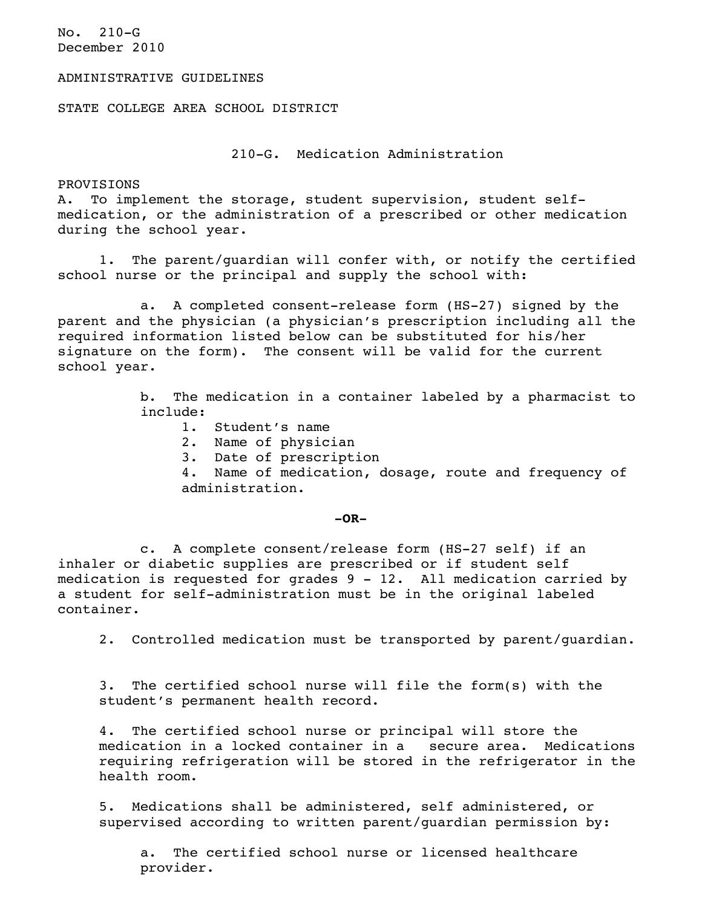No. 210-G December 2010

## ADMINISTRATIVE GUIDELINES

STATE COLLEGE AREA SCHOOL DISTRICT

210-G. Medication Administration

PROVISIONS

A. To implement the storage, student supervision, student selfmedication, or the administration of a prescribed or other medication during the school year.

1. The parent/guardian will confer with, or notify the certified school nurse or the principal and supply the school with:

a. A completed consent-release form (HS-27) signed by the parent and the physician (a physician's prescription including all the required information listed below can be substituted for his/her signature on the form). The consent will be valid for the current school year.

> b. The medication in a container labeled by a pharmacist to include:

- 1. Student's name
- 2. Name of physician
- 3. Date of prescription

4. Name of medication, dosage, route and frequency of administration.

## **-OR-**

c. A complete consent/release form (HS-27 self) if an inhaler or diabetic supplies are prescribed or if student self medication is requested for grades 9 - 12. All medication carried by a student for self-administration must be in the original labeled container.

2. Controlled medication must be transported by parent/guardian.

3. The certified school nurse will file the form(s) with the student's permanent health record.

4. The certified school nurse or principal will store the medication in a locked container in a secure area. Medications requiring refrigeration will be stored in the refrigerator in the health room.

5. Medications shall be administered, self administered, or supervised according to written parent/guardian permission by:

a. The certified school nurse or licensed healthcare provider.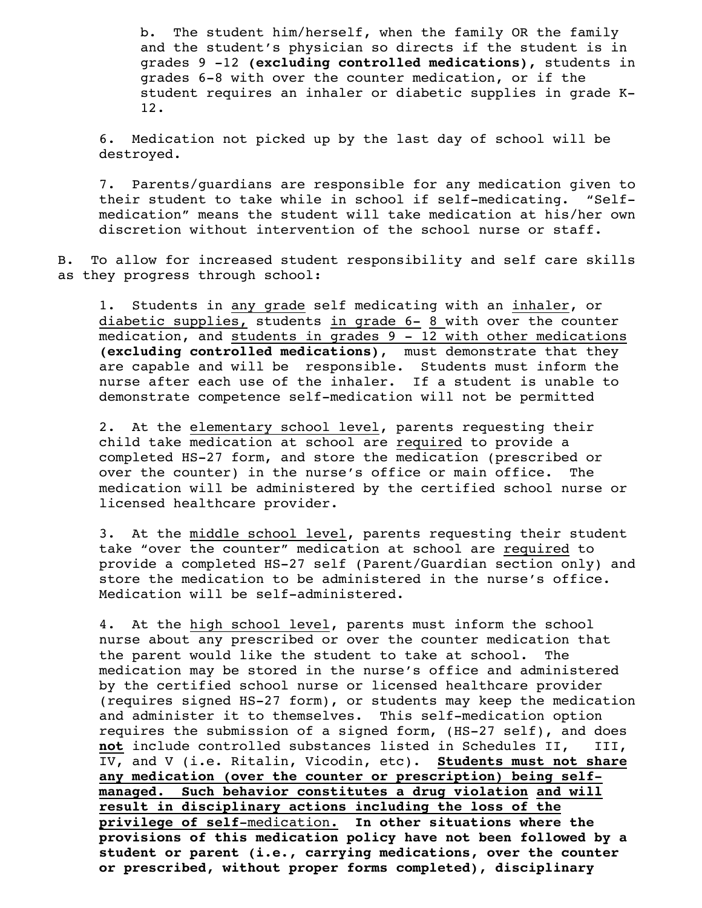b. The student him/herself, when the family OR the family and the student's physician so directs if the student is in grades 9 -12 **(excluding controlled medications),** students in grades 6-8 with over the counter medication, or if the student requires an inhaler or diabetic supplies in grade K-12.

6. Medication not picked up by the last day of school will be destroyed.

7. Parents/guardians are responsible for any medication given to their student to take while in school if self-medicating. "Selfmedication" means the student will take medication at his/her own discretion without intervention of the school nurse or staff.

B. To allow for increased student responsibility and self care skills as they progress through school:

1. Students in any grade self medicating with an inhaler, or diabetic supplies, students in grade 6- 8 with over the counter medication, and students in grades 9 - 12 with other medications **(excluding controlled medications)**, must demonstrate that they are capable and will be responsible. Students must inform the nurse after each use of the inhaler. If a student is unable to demonstrate competence self-medication will not be permitted

2. At the elementary school level, parents requesting their child take medication at school are required to provide a completed HS-27 form, and store the medication (prescribed or over the counter) in the nurse's office or main office. The medication will be administered by the certified school nurse or licensed healthcare provider.

3. At the middle school level, parents requesting their student take "over the counter" medication at school are required to provide a completed HS-27 self (Parent/Guardian section only) and store the medication to be administered in the nurse's office. Medication will be self-administered.

4. At the high school level, parents must inform the school nurse about any prescribed or over the counter medication that the parent would like the student to take at school. The medication may be stored in the nurse's office and administered by the certified school nurse or licensed healthcare provider (requires signed HS-27 form), or students may keep the medication and administer it to themselves. This self-medication option requires the submission of a signed form, (HS-27 self), and does **not** include controlled substances listed in Schedules II, III, IV, and V (i.e. Ritalin, Vicodin, etc). **Students must not share any medication (over the counter or prescription) being selfmanaged. Such behavior constitutes a drug violation and will result in disciplinary actions including the loss of the privilege of self**-medication**. In other situations where the provisions of this medication policy have not been followed by a student or parent (i.e., carrying medications, over the counter or prescribed, without proper forms completed), disciplinary**